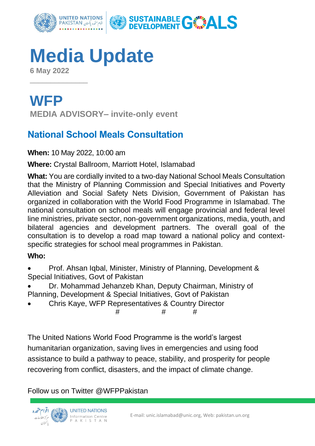

## **Media Update**

**6 May 2022**

 $\overline{\phantom{a}}$  , where  $\overline{\phantom{a}}$ 

**WFP MEDIA ADVISORY– invite-only event**

## **National School Meals Consultation**

**When:** 10 May 2022, 10:00 am

**Where:** Crystal Ballroom, Marriott Hotel, Islamabad

**What:** You are cordially invited to a two-day National School Meals Consultation that the Ministry of Planning Commission and Special Initiatives and Poverty Alleviation and Social Safety Nets Division, Government of Pakistan has organized in collaboration with the World Food Programme in Islamabad. The national consultation on school meals will engage provincial and federal level line ministries, private sector, non-government organizations, media, youth, and bilateral agencies and development partners. The overall goal of the consultation is to develop a road map toward a national policy and contextspecific strategies for school meal programmes in Pakistan.

## **Who:**

- Prof. Ahsan Iqbal, Minister, Ministry of Planning, Development & Special Initiatives, Govt of Pakistan
- Dr. Mohammad Jehanzeb Khan, Deputy Chairman, Ministry of Planning, Development & Special Initiatives, Govt of Pakistan
- Chris Kaye, WFP Representatives & Country Director

# # #

The United Nations World Food Programme is the world's largest humanitarian organization, saving lives in emergencies and using food assistance to build a pathway to peace, stability, and prosperity for people recovering from conflict, disasters, and the impact of climate change.

Follow us on Twitter @WFPPakistan